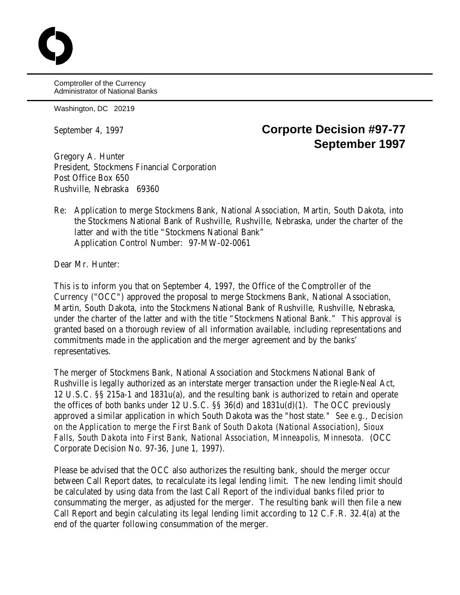Comptroller of the Currency Administrator of National Banks

Washington, DC 20219

## September 4, 1997 **Corporte Decision #97-77 September 1997**

Gregory A. Hunter President, Stockmens Financial Corporation Post Office Box 650 Rushville, Nebraska 69360

Re: Application to merge Stockmens Bank, National Association, Martin, South Dakota, into the Stockmens National Bank of Rushville, Rushville, Nebraska, under the charter of the latter and with the title "Stockmens National Bank" Application Control Number: 97-MW-02-0061

Dear Mr. Hunter:

This is to inform you that on September 4, 1997, the Office of the Comptroller of the Currency ("OCC") approved the proposal to merge Stockmens Bank, National Association, Martin, South Dakota, into the Stockmens National Bank of Rushville, Rushville, Nebraska, under the charter of the latter and with the title "Stockmens National Bank." This approval is granted based on a thorough review of all information available, including representations and commitments made in the application and the merger agreement and by the banks' representatives.

The merger of Stockmens Bank, National Association and Stockmens National Bank of Rushville is legally authorized as an interstate merger transaction under the Riegle-Neal Act, 12 U.S.C. §§ 215a-1 and 1831u(a), and the resulting bank is authorized to retain and operate the offices of both banks under 12 U.S.C. §§ 36(d) and 1831u(d)(1). The OCC previously approved a similar application in which South Dakota was the "host state." *See e.g., Decision on the Application to merge the First Bank of South Dakota (National Association), Sioux Falls, South Dakota into First Bank, National Association, Minneapolis, Minnesota.* (OCC Corporate Decision No. 97-36, June 1, 1997).

Please be advised that the OCC also authorizes the resulting bank, should the merger occur between Call Report dates, to recalculate its legal lending limit. The new lending limit should be calculated by using data from the last Call Report of the individual banks filed prior to consummating the merger, as adjusted for the merger. The resulting bank will then file a new Call Report and begin calculating its legal lending limit according to 12 C.F.R. 32.4(a) at the end of the quarter following consummation of the merger.